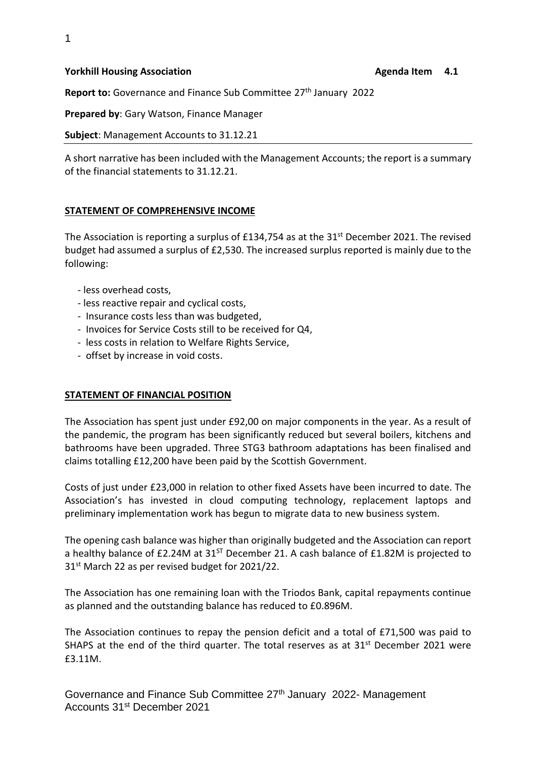#### **Yorkhill Housing Association** Agenda Item 4.1 **Agenda Item 4.1 Agenda Item 4.1**

Report to: Governance and Finance Sub Committee 27<sup>th</sup> January 2022

**Prepared by**: Gary Watson, Finance Manager

**Subject**: Management Accounts to 31.12.21

A short narrative has been included with the Management Accounts; the report is a summary of the financial statements to 31.12.21.

#### **STATEMENT OF COMPREHENSIVE INCOME**

The Association is reporting a surplus of £134,754 as at the 31<sup>st</sup> December 2021. The revised budget had assumed a surplus of £2,530. The increased surplus reported is mainly due to the following:

- less overhead costs,
- less reactive repair and cyclical costs,
- Insurance costs less than was budgeted,
- Invoices for Service Costs still to be received for Q4,
- less costs in relation to Welfare Rights Service,
- offset by increase in void costs.

#### **STATEMENT OF FINANCIAL POSITION**

The Association has spent just under £92,00 on major components in the year. As a result of the pandemic, the program has been significantly reduced but several boilers, kitchens and bathrooms have been upgraded. Three STG3 bathroom adaptations has been finalised and claims totalling £12,200 have been paid by the Scottish Government.

Costs of just under £23,000 in relation to other fixed Assets have been incurred to date. The Association's has invested in cloud computing technology, replacement laptops and preliminary implementation work has begun to migrate data to new business system.

The opening cash balance was higher than originally budgeted and the Association can report a healthy balance of £2.24M at  $31^{57}$  December 21. A cash balance of £1.82M is projected to 31<sup>st</sup> March 22 as per revised budget for 2021/22.

The Association has one remaining loan with the Triodos Bank, capital repayments continue as planned and the outstanding balance has reduced to £0.896M.

The Association continues to repay the pension deficit and a total of £71,500 was paid to SHAPS at the end of the third quarter. The total reserves as at  $31<sup>st</sup>$  December 2021 were £3.11M.

Governance and Finance Sub Committee 27<sup>th</sup> January 2022- Management Accounts 31<sup>st</sup> December 2021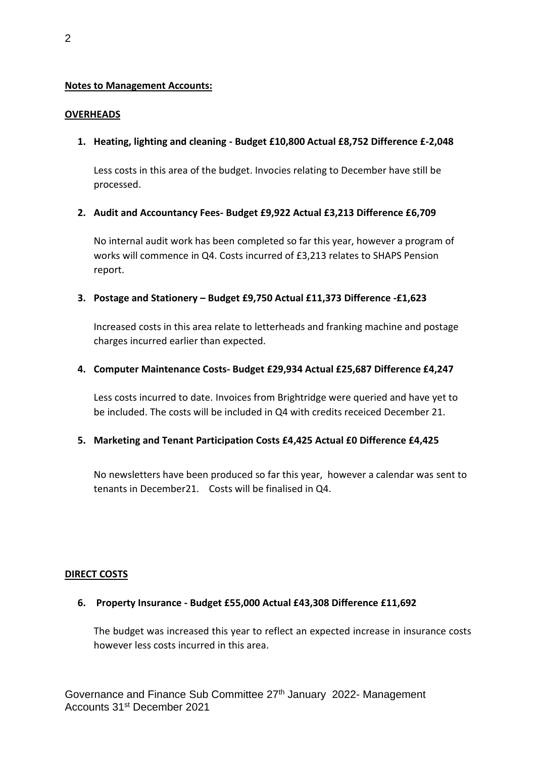#### **Notes to Management Accounts:**

#### **OVERHEADS**

#### **1. Heating, lighting and cleaning - Budget £10,800 Actual £8,752 Difference £-2,048**

Less costs in this area of the budget. Invocies relating to December have still be processed.

#### **2. Audit and Accountancy Fees- Budget £9,922 Actual £3,213 Difference £6,709**

No internal audit work has been completed so far this year, however a program of works will commence in Q4. Costs incurred of £3,213 relates to SHAPS Pension report.

# **3. Postage and Stationery – Budget £9,750 Actual £11,373 Difference -£1,623**

Increased costs in this area relate to letterheads and franking machine and postage charges incurred earlier than expected.

#### **4. Computer Maintenance Costs- Budget £29,934 Actual £25,687 Difference £4,247**

Less costs incurred to date. Invoices from Brightridge were queried and have yet to be included. The costs will be included in Q4 with credits receiced December 21.

# **5. Marketing and Tenant Participation Costs £4,425 Actual £0 Difference £4,425**

No newsletters have been produced so far this year, however a calendar was sent to tenants in December21. Costs will be finalised in Q4.

#### **DIRECT COSTS**

# **6. Property Insurance - Budget £55,000 Actual £43,308 Difference £11,692**

The budget was increased this year to reflect an expected increase in insurance costs however less costs incurred in this area.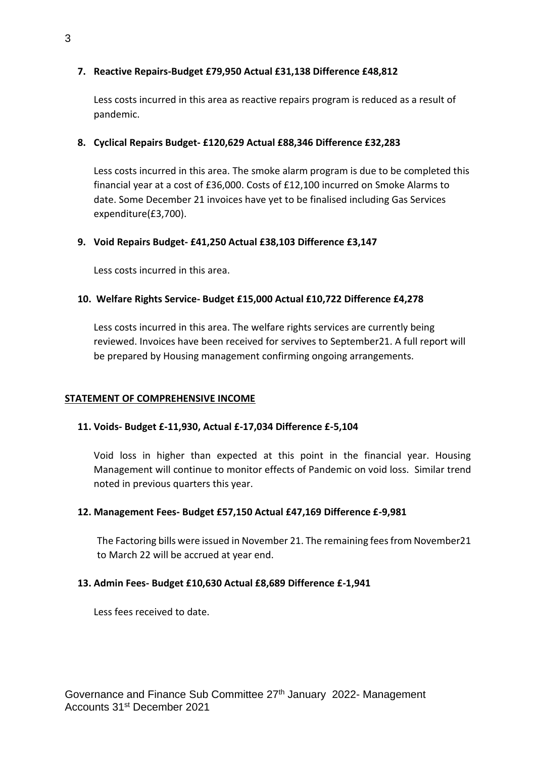# **7. Reactive Repairs-Budget £79,950 Actual £31,138 Difference £48,812**

Less costs incurred in this area as reactive repairs program is reduced as a result of pandemic.

# **8. Cyclical Repairs Budget- £120,629 Actual £88,346 Difference £32,283**

Less costs incurred in this area. The smoke alarm program is due to be completed this financial year at a cost of £36,000. Costs of £12,100 incurred on Smoke Alarms to date. Some December 21 invoices have yet to be finalised including Gas Services expenditure(£3,700).

# **9. Void Repairs Budget- £41,250 Actual £38,103 Difference £3,147**

Less costs incurred in this area.

# **10. Welfare Rights Service- Budget £15,000 Actual £10,722 Difference £4,278**

Less costs incurred in this area. The welfare rights services are currently being reviewed. Invoices have been received for servives to September21. A full report will be prepared by Housing management confirming ongoing arrangements.

# **STATEMENT OF COMPREHENSIVE INCOME**

# **11. Voids- Budget £-11,930, Actual £-17,034 Difference £-5,104**

Void loss in higher than expected at this point in the financial year. Housing Management will continue to monitor effects of Pandemic on void loss. Similar trend noted in previous quarters this year.

# **12. Management Fees- Budget £57,150 Actual £47,169 Difference £-9,981**

The Factoring bills were issued in November 21. The remaining fees from November21 to March 22 will be accrued at year end.

# **13. Admin Fees- Budget £10,630 Actual £8,689 Difference £-1,941**

Less fees received to date.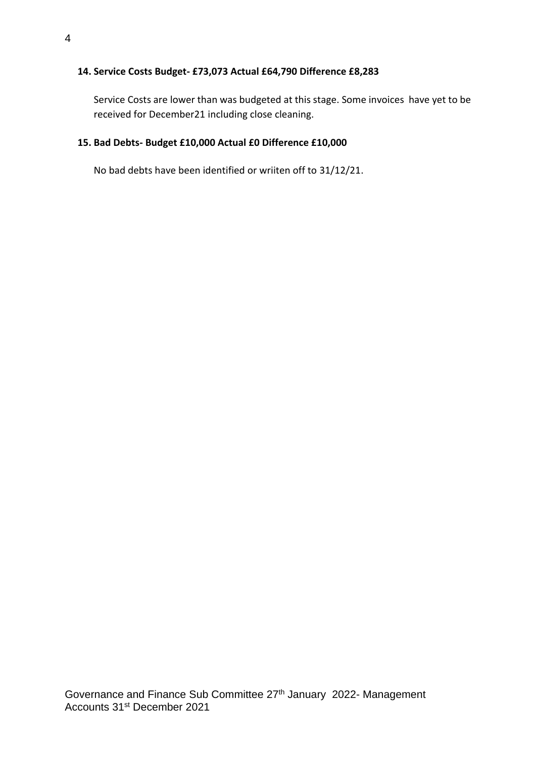# **14. Service Costs Budget- £73,073 Actual £64,790 Difference £8,283**

Service Costs are lower than was budgeted at this stage. Some invoices have yet to be received for December21 including close cleaning.

#### **15. Bad Debts- Budget £10,000 Actual £0 Difference £10,000**

No bad debts have been identified or wriiten off to 31/12/21.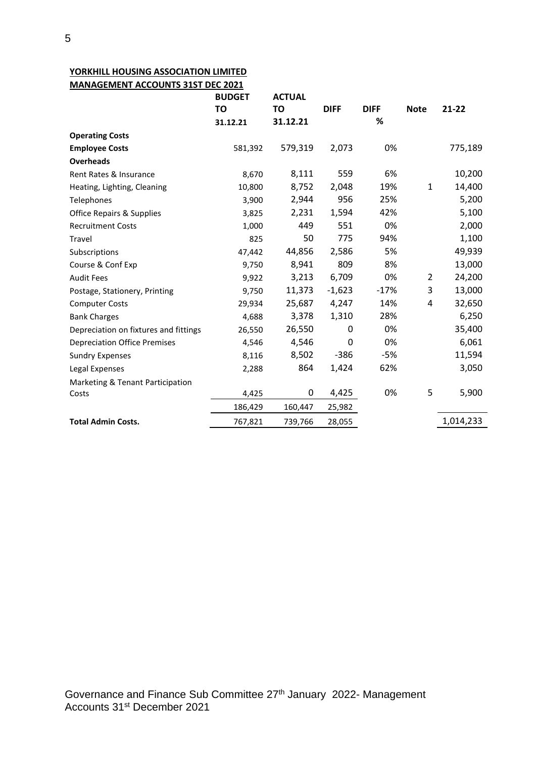#### **YORKHILL HOUSING ASSOCIATION LIMITED MANAGEMENT ACCOUNTS 31ST DEC 2021**

| TO<br>TO<br><b>DIFF</b><br>$21 - 22$<br><b>DIFF</b><br><b>Note</b><br>%<br>31.12.21<br>31.12.21<br><b>Operating Costs</b><br>579,319<br>2,073<br>0%<br><b>Employee Costs</b><br>581,392<br><b>Overheads</b><br>8,111<br>559<br>6%<br>Rent Rates & Insurance<br>8,670<br>8,752<br>2,048<br>19%<br>$\mathbf{1}$<br>Heating, Lighting, Cleaning<br>10,800<br>2,944<br>956<br>25%<br>3,900<br>Telephones<br>2,231<br>1,594<br>42%<br><b>Office Repairs &amp; Supplies</b><br>3,825<br>0%<br>449<br>551<br><b>Recruitment Costs</b><br>1,000<br>775<br>50<br>94%<br>825<br>Travel<br>2,586<br>5%<br>44,856<br>47,442<br>Subscriptions<br>809<br>8,941<br>8%<br>9,750<br>Course & Conf Exp | <b>ACTUAL</b>                       |  | <b>BUDGET</b> |                   |
|--------------------------------------------------------------------------------------------------------------------------------------------------------------------------------------------------------------------------------------------------------------------------------------------------------------------------------------------------------------------------------------------------------------------------------------------------------------------------------------------------------------------------------------------------------------------------------------------------------------------------------------------------------------------------------------|-------------------------------------|--|---------------|-------------------|
|                                                                                                                                                                                                                                                                                                                                                                                                                                                                                                                                                                                                                                                                                      |                                     |  |               |                   |
|                                                                                                                                                                                                                                                                                                                                                                                                                                                                                                                                                                                                                                                                                      |                                     |  |               |                   |
|                                                                                                                                                                                                                                                                                                                                                                                                                                                                                                                                                                                                                                                                                      |                                     |  |               |                   |
|                                                                                                                                                                                                                                                                                                                                                                                                                                                                                                                                                                                                                                                                                      | 775,189                             |  |               |                   |
|                                                                                                                                                                                                                                                                                                                                                                                                                                                                                                                                                                                                                                                                                      |                                     |  |               |                   |
|                                                                                                                                                                                                                                                                                                                                                                                                                                                                                                                                                                                                                                                                                      | 10,200                              |  |               |                   |
|                                                                                                                                                                                                                                                                                                                                                                                                                                                                                                                                                                                                                                                                                      | 14,400                              |  |               |                   |
|                                                                                                                                                                                                                                                                                                                                                                                                                                                                                                                                                                                                                                                                                      | 5,200                               |  |               |                   |
|                                                                                                                                                                                                                                                                                                                                                                                                                                                                                                                                                                                                                                                                                      | 5,100                               |  |               |                   |
|                                                                                                                                                                                                                                                                                                                                                                                                                                                                                                                                                                                                                                                                                      | 2,000                               |  |               |                   |
|                                                                                                                                                                                                                                                                                                                                                                                                                                                                                                                                                                                                                                                                                      | 1,100                               |  |               |                   |
|                                                                                                                                                                                                                                                                                                                                                                                                                                                                                                                                                                                                                                                                                      | 49,939                              |  |               |                   |
|                                                                                                                                                                                                                                                                                                                                                                                                                                                                                                                                                                                                                                                                                      | 13,000                              |  |               |                   |
|                                                                                                                                                                                                                                                                                                                                                                                                                                                                                                                                                                                                                                                                                      | 6,709<br>0%<br>24,200<br>3,213<br>2 |  | 9,922         | <b>Audit Fees</b> |
| $-1,623$<br>$-17%$<br>3<br>11,373<br>9,750<br>Postage, Stationery, Printing                                                                                                                                                                                                                                                                                                                                                                                                                                                                                                                                                                                                          | 13,000                              |  |               |                   |
| 25,687<br>4,247<br>14%<br>4<br>29,934<br><b>Computer Costs</b>                                                                                                                                                                                                                                                                                                                                                                                                                                                                                                                                                                                                                       | 32,650                              |  |               |                   |
| 3,378<br>1,310<br>28%<br>4,688<br><b>Bank Charges</b>                                                                                                                                                                                                                                                                                                                                                                                                                                                                                                                                                                                                                                | 6,250                               |  |               |                   |
| 0%<br>26,550<br>0<br>Depreciation on fixtures and fittings<br>26,550                                                                                                                                                                                                                                                                                                                                                                                                                                                                                                                                                                                                                 | 35,400                              |  |               |                   |
| 0%<br>4,546<br>0<br><b>Depreciation Office Premises</b><br>4,546                                                                                                                                                                                                                                                                                                                                                                                                                                                                                                                                                                                                                     | 6,061                               |  |               |                   |
| $-386$<br>$-5%$<br>8,502<br>8,116<br><b>Sundry Expenses</b>                                                                                                                                                                                                                                                                                                                                                                                                                                                                                                                                                                                                                          | 11,594                              |  |               |                   |
| 864<br>1,424<br>62%<br>Legal Expenses<br>2,288                                                                                                                                                                                                                                                                                                                                                                                                                                                                                                                                                                                                                                       | 3,050                               |  |               |                   |
| Marketing & Tenant Participation                                                                                                                                                                                                                                                                                                                                                                                                                                                                                                                                                                                                                                                     |                                     |  |               |                   |
| 4,425<br>0%<br>5<br>0<br>4,425<br>Costs                                                                                                                                                                                                                                                                                                                                                                                                                                                                                                                                                                                                                                              | 5,900                               |  |               |                   |
| 186,429<br>160,447<br>25,982                                                                                                                                                                                                                                                                                                                                                                                                                                                                                                                                                                                                                                                         |                                     |  |               |                   |
| <b>Total Admin Costs.</b><br>767,821<br>739,766<br>28,055                                                                                                                                                                                                                                                                                                                                                                                                                                                                                                                                                                                                                            | 1,014,233                           |  |               |                   |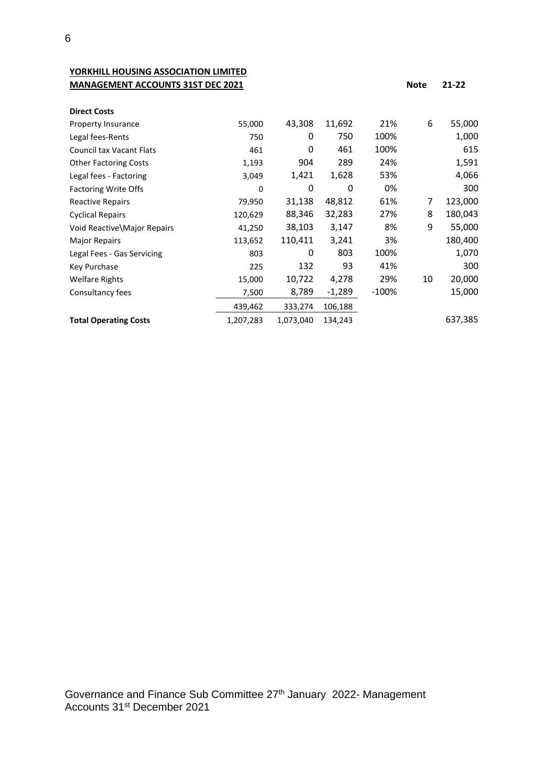**YORKHILL HOUSING ASSOCIATION LIMITED MANAGEMENT ACCOUNTS 31ST DEC 2021 Note 21-22** 

| <b>Direct Costs</b>             |           |           |          |       |    |         |
|---------------------------------|-----------|-----------|----------|-------|----|---------|
| Property Insurance              | 55,000    | 43,308    | 11,692   | 21%   | 6  | 55,000  |
| Legal fees-Rents                | 750       | 0         | 750      | 100%  |    | 1,000   |
| <b>Council tax Vacant Flats</b> | 461       | 0         | 461      | 100%  |    | 615     |
| <b>Other Factoring Costs</b>    | 1,193     | 904       | 289      | 24%   |    | 1,591   |
| Legal fees - Factoring          | 3,049     | 1,421     | 1,628    | 53%   |    | 4,066   |
| <b>Factoring Write Offs</b>     | 0         | 0         | 0        | 0%    |    | 300     |
| <b>Reactive Repairs</b>         | 79,950    | 31,138    | 48,812   | 61%   | 7  | 123,000 |
| <b>Cyclical Repairs</b>         | 120,629   | 88,346    | 32,283   | 27%   | 8  | 180,043 |
| Void Reactive\Major Repairs     | 41,250    | 38,103    | 3,147    | 8%    | 9  | 55,000  |
| <b>Major Repairs</b>            | 113,652   | 110,411   | 3,241    | 3%    |    | 180,400 |
| Legal Fees - Gas Servicing      | 803       | 0         | 803      | 100%  |    | 1,070   |
| Key Purchase                    | 225       | 132       | 93       | 41%   |    | 300     |
| <b>Welfare Rights</b>           | 15,000    | 10,722    | 4,278    | 29%   | 10 | 20,000  |
| Consultancy fees                | 7,500     | 8,789     | $-1,289$ | -100% |    | 15,000  |
|                                 | 439,462   | 333,274   | 106,188  |       |    |         |
| <b>Total Operating Costs</b>    | 1,207,283 | 1,073,040 | 134,243  |       |    | 637,385 |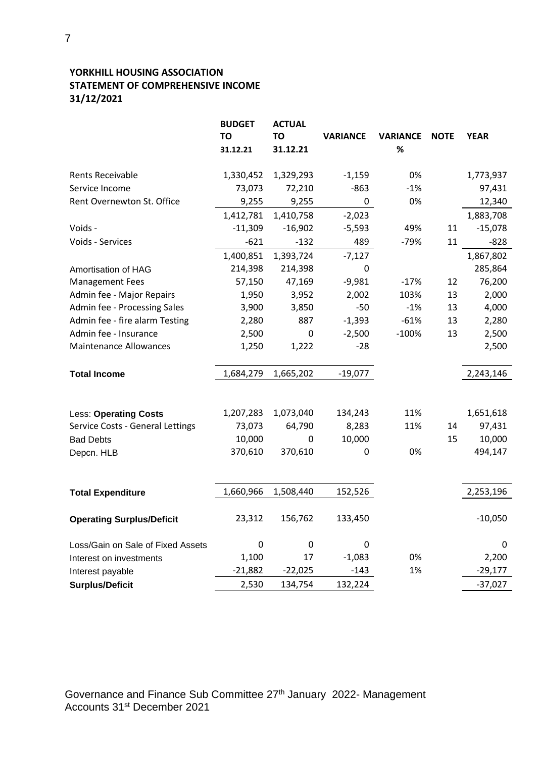# **YORKHILL HOUSING ASSOCIATION STATEMENT OF COMPREHENSIVE INCOME 31/12/2021**

|                                   | <b>BUDGET</b><br><b>TO</b><br>31.12.21 | <b>ACTUAL</b><br><b>TO</b><br>31.12.21 | <b>VARIANCE</b> | <b>VARIANCE</b><br>$\%$ | <b>NOTE</b> | <b>YEAR</b> |
|-----------------------------------|----------------------------------------|----------------------------------------|-----------------|-------------------------|-------------|-------------|
| Rents Receivable                  | 1,330,452                              | 1,329,293                              | $-1,159$        | 0%                      |             | 1,773,937   |
| Service Income                    | 73,073                                 | 72,210                                 | $-863$          | $-1%$                   |             | 97,431      |
| Rent Overnewton St. Office        | 9,255                                  | 9,255                                  | $\pmb{0}$       | 0%                      |             | 12,340      |
|                                   | 1,412,781                              | 1,410,758                              | $-2,023$        |                         |             | 1,883,708   |
| Voids -                           | $-11,309$                              | $-16,902$                              | $-5,593$        | 49%                     | 11          | $-15,078$   |
| Voids - Services                  | $-621$                                 | $-132$                                 | 489             | $-79%$                  | 11          | $-828$      |
|                                   | 1,400,851                              | 1,393,724                              | $-7,127$        |                         |             | 1,867,802   |
| Amortisation of HAG               | 214,398                                | 214,398                                | $\mathbf 0$     |                         |             | 285,864     |
| <b>Management Fees</b>            | 57,150                                 | 47,169                                 | $-9,981$        | $-17%$                  | 12          | 76,200      |
| Admin fee - Major Repairs         | 1,950                                  | 3,952                                  | 2,002           | 103%                    | 13          | 2,000       |
| Admin fee - Processing Sales      | 3,900                                  | 3,850                                  | $-50$           | $-1%$                   | 13          | 4,000       |
| Admin fee - fire alarm Testing    | 2,280                                  | 887                                    | $-1,393$        | $-61%$                  | 13          | 2,280       |
| Admin fee - Insurance             | 2,500                                  | $\pmb{0}$                              | $-2,500$        | $-100%$                 | 13          | 2,500       |
| <b>Maintenance Allowances</b>     | 1,250                                  | 1,222                                  | $-28$           |                         |             | 2,500       |
| <b>Total Income</b>               | 1,684,279                              | 1,665,202                              | $-19,077$       |                         |             | 2,243,146   |
| <b>Less: Operating Costs</b>      | 1,207,283                              | 1,073,040                              | 134,243         | 11%                     |             | 1,651,618   |
| Service Costs - General Lettings  | 73,073                                 | 64,790                                 | 8,283           | 11%                     | 14          | 97,431      |
| <b>Bad Debts</b>                  | 10,000                                 | $\boldsymbol{0}$                       | 10,000          |                         | 15          | 10,000      |
| Depcn. HLB                        | 370,610                                | 370,610                                | 0               | 0%                      |             | 494,147     |
| <b>Total Expenditure</b>          | 1,660,966                              | 1,508,440                              | 152,526         |                         |             | 2,253,196   |
| <b>Operating Surplus/Deficit</b>  | 23,312                                 | 156,762                                | 133,450         |                         |             | $-10,050$   |
| Loss/Gain on Sale of Fixed Assets | $\mathbf 0$                            | $\boldsymbol{0}$                       | $\mathbf 0$     |                         |             | 0           |
| Interest on investments           | 1,100                                  | 17                                     | $-1,083$        | 0%                      |             | 2,200       |
| Interest payable                  | $-21,882$                              | $-22,025$                              | $-143$          | 1%                      |             | $-29,177$   |
| <b>Surplus/Deficit</b>            | 2,530                                  | 134,754                                | 132,224         |                         |             | $-37,027$   |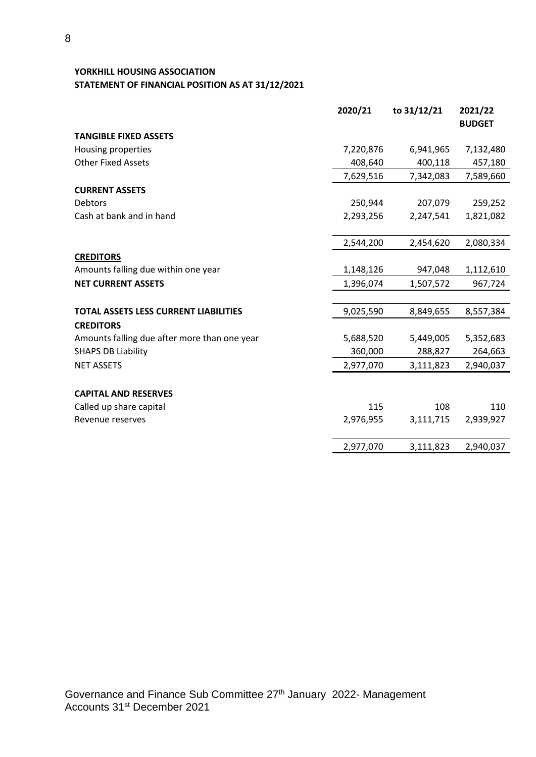# **YORKHILL HOUSING ASSOCIATION STATEMENT OF FINANCIAL POSITION AS AT 31/12/2021**

|                                              | 2020/21   | to 31/12/21 | 2021/22       |
|----------------------------------------------|-----------|-------------|---------------|
|                                              |           |             | <b>BUDGET</b> |
| <b>TANGIBLE FIXED ASSETS</b>                 |           |             |               |
| Housing properties                           | 7,220,876 | 6,941,965   | 7,132,480     |
| <b>Other Fixed Assets</b>                    | 408,640   | 400,118     | 457,180       |
|                                              | 7,629,516 | 7,342,083   | 7,589,660     |
| <b>CURRENT ASSETS</b>                        |           |             |               |
| <b>Debtors</b>                               | 250,944   | 207,079     | 259,252       |
| Cash at bank and in hand                     | 2,293,256 | 2,247,541   | 1,821,082     |
|                                              | 2,544,200 | 2,454,620   | 2,080,334     |
| <b>CREDITORS</b>                             |           |             |               |
| Amounts falling due within one year          | 1,148,126 | 947,048     | 1,112,610     |
| <b>NET CURRENT ASSETS</b>                    | 1,396,074 | 1,507,572   | 967,724       |
| <b>TOTAL ASSETS LESS CURRENT LIABILITIES</b> | 9,025,590 | 8,849,655   | 8,557,384     |
| <b>CREDITORS</b>                             |           |             |               |
| Amounts falling due after more than one year | 5,688,520 | 5,449,005   | 5,352,683     |
| <b>SHAPS DB Liability</b>                    | 360,000   | 288,827     | 264,663       |
| <b>NET ASSETS</b>                            | 2,977,070 | 3,111,823   | 2,940,037     |
| <b>CAPITAL AND RESERVES</b>                  |           |             |               |
| Called up share capital                      | 115       | 108         | 110           |
| Revenue reserves                             | 2,976,955 | 3,111,715   | 2,939,927     |
|                                              | 2,977,070 | 3,111,823   | 2,940,037     |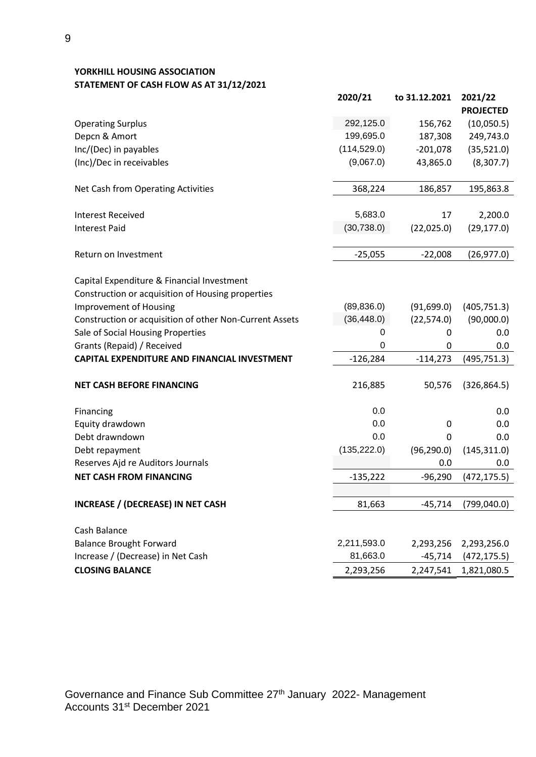# **YORKHILL HOUSING ASSOCIATION STATEMENT OF CASH FLOW AS AT 31/12/2021**

|                                                         | 2020/21      | to 31.12.2021 | 2021/22<br><b>PROJECTED</b> |
|---------------------------------------------------------|--------------|---------------|-----------------------------|
| <b>Operating Surplus</b>                                | 292,125.0    | 156,762       | (10,050.5)                  |
| Depcn & Amort                                           | 199,695.0    | 187,308       | 249,743.0                   |
| Inc/(Dec) in payables                                   | (114, 529.0) | $-201,078$    | (35,521.0)                  |
| (Inc)/Dec in receivables                                | (9,067.0)    | 43,865.0      | (8,307.7)                   |
| Net Cash from Operating Activities                      | 368,224      | 186,857       | 195,863.8                   |
| <b>Interest Received</b>                                | 5,683.0      | 17            | 2,200.0                     |
| <b>Interest Paid</b>                                    | (30, 738.0)  | (22,025.0)    | (29, 177.0)                 |
| Return on Investment                                    | $-25,055$    | $-22,008$     | (26, 977.0)                 |
| Capital Expenditure & Financial Investment              |              |               |                             |
| Construction or acquisition of Housing properties       |              |               |                             |
| <b>Improvement of Housing</b>                           | (89, 836.0)  | (91,699.0)    | (405, 751.3)                |
| Construction or acquisition of other Non-Current Assets | (36, 448.0)  | (22, 574.0)   | (90,000.0)                  |
| Sale of Social Housing Properties                       | 0            | 0             | 0.0                         |
| Grants (Repaid) / Received                              | 0            | 0             | 0.0                         |
| <b>CAPITAL EXPENDITURE AND FINANCIAL INVESTMENT</b>     | $-126,284$   | $-114,273$    | (495, 751.3)                |
| <b>NET CASH BEFORE FINANCING</b>                        | 216,885      | 50,576        | (326, 864.5)                |
| Financing                                               | 0.0          |               | 0.0                         |
| Equity drawdown                                         | 0.0          | $\mathbf 0$   | 0.0                         |
| Debt drawndown                                          | 0.0          | 0             | 0.0                         |
| Debt repayment                                          | (135, 222.0) | (96, 290.0)   | (145, 311.0)                |
| Reserves Ajd re Auditors Journals                       |              | 0.0           | 0.0                         |
| <b>NET CASH FROM FINANCING</b>                          | $-135,222$   | $-96,290$     | (472, 175.5)                |
|                                                         |              |               |                             |
| <b>INCREASE / (DECREASE) IN NET CASH</b>                | 81,663       | $-45,714$     | (799, 040.0)                |
| Cash Balance                                            |              |               |                             |
| <b>Balance Brought Forward</b>                          | 2,211,593.0  | 2,293,256     | 2,293,256.0                 |
| Increase / (Decrease) in Net Cash                       | 81,663.0     | $-45,714$     | (472, 175.5)                |
| <b>CLOSING BALANCE</b>                                  | 2,293,256    | 2,247,541     | 1,821,080.5                 |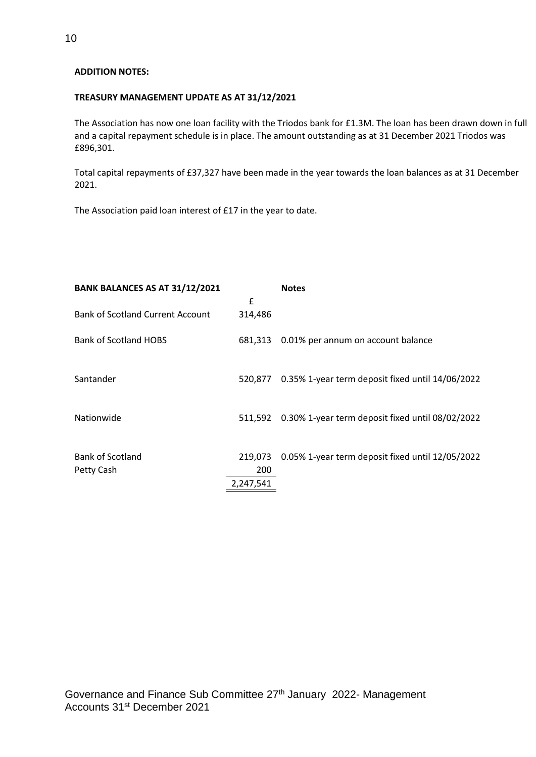#### **ADDITION NOTES:**

#### **TREASURY MANAGEMENT UPDATE AS AT 31/12/2021**

The Association has now one loan facility with the Triodos bank for £1.3M. The loan has been drawn down in full and a capital repayment schedule is in place. The amount outstanding as at 31 December 2021 Triodos was £896,301.

Total capital repayments of £37,327 have been made in the year towards the loan balances as at 31 December 2021.

The Association paid loan interest of £17 in the year to date.

| BANK BALANCES AS AT 31/12/2021          |           | <b>Notes</b>                                     |
|-----------------------------------------|-----------|--------------------------------------------------|
|                                         | £         |                                                  |
| <b>Bank of Scotland Current Account</b> | 314,486   |                                                  |
| <b>Bank of Scotland HOBS</b>            | 681,313   | 0.01% per annum on account balance               |
| Santander                               | 520.877   | 0.35% 1-year term deposit fixed until 14/06/2022 |
| Nationwide                              | 511,592   | 0.30% 1-year term deposit fixed until 08/02/2022 |
| <b>Bank of Scotland</b>                 | 219,073   | 0.05% 1-year term deposit fixed until 12/05/2022 |
| Petty Cash                              | 200       |                                                  |
|                                         | 2,247,541 |                                                  |